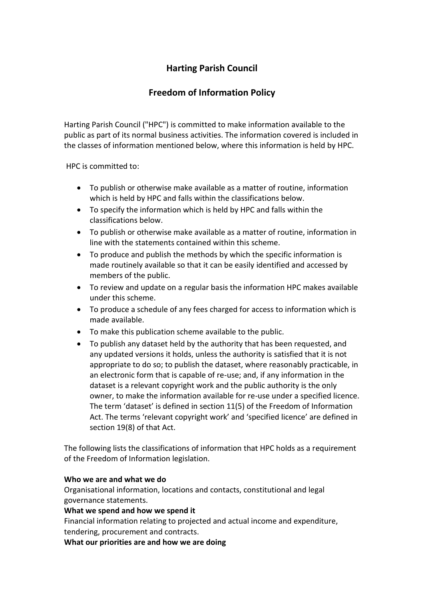# **Harting Parish Council**

# **Freedom of Information Policy**

Harting Parish Council ("HPC") is committed to make information available to the public as part of its normal business activities. The information covered is included in the classes of information mentioned below, where this information is held by HPC.

HPC is committed to:

- To publish or otherwise make available as a matter of routine, information which is held by HPC and falls within the classifications below.
- To specify the information which is held by HPC and falls within the classifications below.
- To publish or otherwise make available as a matter of routine, information in line with the statements contained within this scheme.
- To produce and publish the methods by which the specific information is made routinely available so that it can be easily identified and accessed by members of the public.
- To review and update on a regular basis the information HPC makes available under this scheme.
- To produce a schedule of any fees charged for access to information which is made available.
- To make this publication scheme available to the public.
- To publish any dataset held by the authority that has been requested, and any updated versions it holds, unless the authority is satisfied that it is not appropriate to do so; to publish the dataset, where reasonably practicable, in an electronic form that is capable of re-use; and, if any information in the dataset is a relevant copyright work and the public authority is the only owner, to make the information available for re-use under a specified licence. The term 'dataset' is defined in section 11(5) of the Freedom of Information Act. The terms 'relevant copyright work' and 'specified licence' are defined in section 19(8) of that Act.

The following lists the classifications of information that HPC holds as a requirement of the Freedom of Information legislation.

## **Who we are and what we do**

Organisational information, locations and contacts, constitutional and legal governance statements.

## **What we spend and how we spend it**

Financial information relating to projected and actual income and expenditure, tendering, procurement and contracts.

**What our priorities are and how we are doing**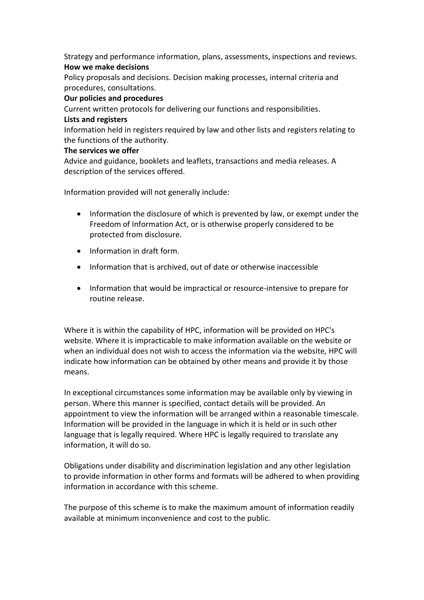Strategy and performance information, plans, assessments, inspections and reviews. **How we make decisions** 

Policy proposals and decisions. Decision making processes, internal criteria and procedures, consultations.

#### **Our policies and procedures**

Current written protocols for delivering our functions and responsibilities. **Lists and registers** 

Information held in registers required by law and other lists and registers relating to the functions of the authority.

#### **The services we offer**

Advice and guidance, booklets and leaflets, transactions and media releases. A description of the services offered.

Information provided will not generally include:

- Information the disclosure of which is prevented by law, or exempt under the Freedom of Information Act, or is otherwise properly considered to be protected from disclosure.
- Information in draft form.
- Information that is archived, out of date or otherwise inaccessible
- Information that would be impractical or resource-intensive to prepare for routine release.

Where it is within the capability of HPC, information will be provided on HPC's website. Where it is impracticable to make information available on the website or when an individual does not wish to access the information via the website, HPC will indicate how information can be obtained by other means and provide it by those means.

In exceptional circumstances some information may be available only by viewing in person. Where this manner is specified, contact details will be provided. An appointment to view the information will be arranged within a reasonable timescale. Information will be provided in the language in which it is held or in such other language that is legally required. Where HPC is legally required to translate any information, it will do so.

Obligations under disability and discrimination legislation and any other legislation to provide information in other forms and formats will be adhered to when providing information in accordance with this scheme.

The purpose of this scheme is to make the maximum amount of information readily available at minimum inconvenience and cost to the public.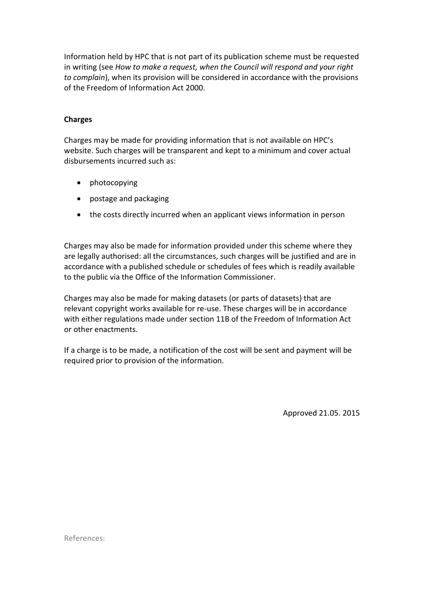Information held by HPC that is not part of its publication scheme must be requested in writing (see *How to make a request, when the Council will respond and your right to complain*), when its provision will be considered in accordance with the provisions of the Freedom of Information Act 2000.

### **Charges**

Charges may be made for providing information that is not available on HPC's website. Such charges will be transparent and kept to a minimum and cover actual disbursements incurred such as:

- photocopying
- postage and packaging
- the costs directly incurred when an applicant views information in person

Charges may also be made for information provided under this scheme where they are legally authorised: all the circumstances, such charges will be justified and are in accordance with a published schedule or schedules of fees which is readily available to the public via the Office of the Information Commissioner.

Charges may also be made for making datasets (or parts of datasets) that are relevant copyright works available for re-use. These charges will be in accordance with either regulations made under section 11B of the Freedom of Information Act or other enactments.

If a charge is to be made, a notification of the cost will be sent and payment will be required prior to provision of the information.

Approved 21.05. 2015

References: